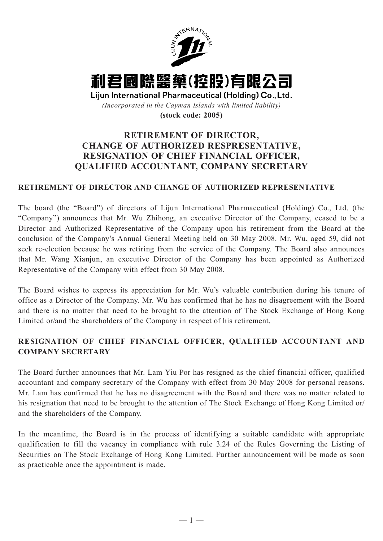

利君國際醫藥(控股)有限公司

Lijun International Pharmaceutical (Holding) Co., Ltd. *(Incorporated in the Cayman Islands with limited liability)* **(stock code: 2005)**

## **RETIREMENT OF DIRECTOR, CHANGE OF AUTHORIZED RESPRESENTATIVE, RESIGNATION OF CHIEF FINANCIAL OFFICER, QUALIFIED ACCOUNTANT, COMPANY SECRETARY**

## **RETIREMENT OF DIRECTOR AND CHANGE OF AUTHORIZED REPRESENTATIVE**

The board (the "Board") of directors of Lijun International Pharmaceutical (Holding) Co., Ltd. (the "Company") announces that Mr. Wu Zhihong, an executive Director of the Company, ceased to be a Director and Authorized Representative of the Company upon his retirement from the Board at the conclusion of the Company's Annual General Meeting held on 30 May 2008. Mr. Wu, aged 59, did not seek re-election because he was retiring from the service of the Company. The Board also announces that Mr. Wang Xianjun, an executive Director of the Company has been appointed as Authorized Representative of the Company with effect from 30 May 2008.

The Board wishes to express its appreciation for Mr. Wu's valuable contribution during his tenure of office as a Director of the Company. Mr. Wu has confirmed that he has no disagreement with the Board and there is no matter that need to be brought to the attention of The Stock Exchange of Hong Kong Limited or/and the shareholders of the Company in respect of his retirement.

## **RESIGNATION OF CHIEF FINANCIAL OFFICER, QUALIFIED ACCOUNTANT AND COMPANY SECRETARY**

The Board further announces that Mr. Lam Yiu Por has resigned as the chief financial officer, qualified accountant and company secretary of the Company with effect from 30 May 2008 for personal reasons. Mr. Lam has confirmed that he has no disagreement with the Board and there was no matter related to his resignation that need to be brought to the attention of The Stock Exchange of Hong Kong Limited or/ and the shareholders of the Company.

In the meantime, the Board is in the process of identifying a suitable candidate with appropriate qualification to fill the vacancy in compliance with rule 3.24 of the Rules Governing the Listing of Securities on The Stock Exchange of Hong Kong Limited. Further announcement will be made as soon as practicable once the appointment is made.